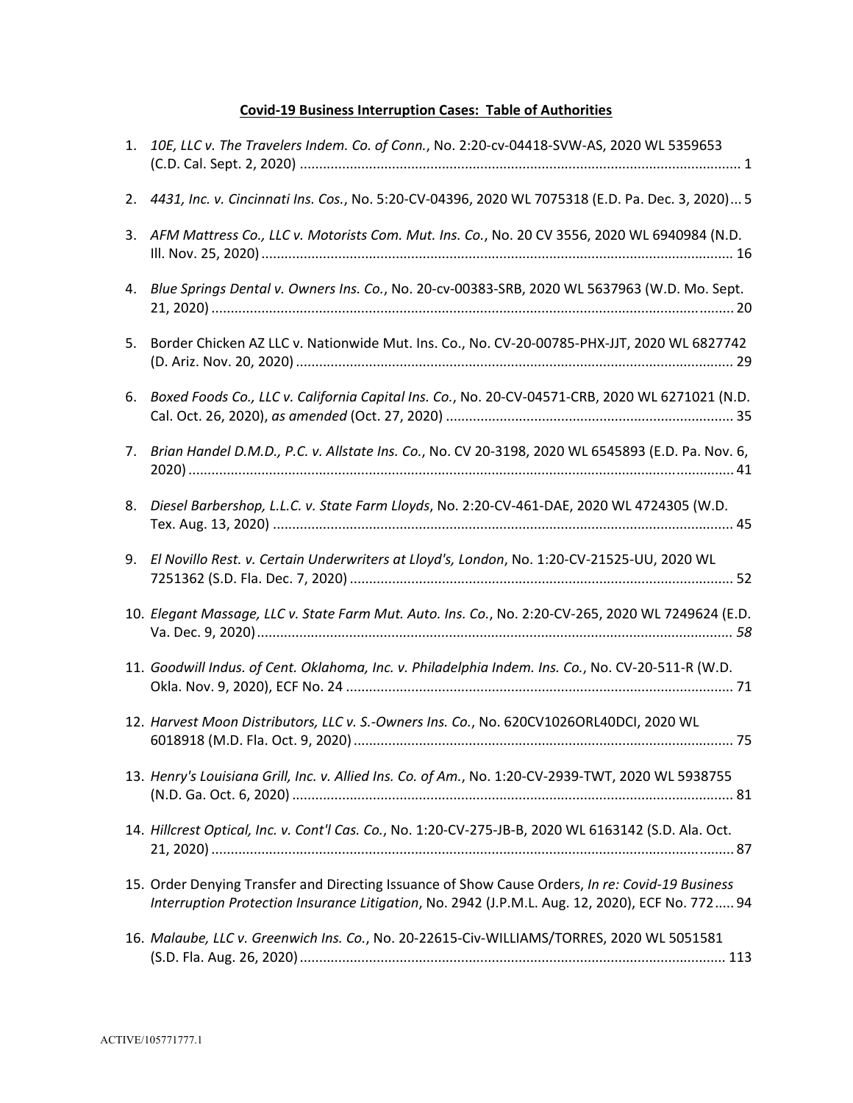## **Covid‐19 Business Interruption Cases: Table of Authorities**

| 1. | 10E, LLC v. The Travelers Indem. Co. of Conn., No. 2:20-cv-04418-SVW-AS, 2020 WL 5359653                                                                                                            |
|----|-----------------------------------------------------------------------------------------------------------------------------------------------------------------------------------------------------|
| 2. | 4431, Inc. v. Cincinnati Ins. Cos., No. 5:20-CV-04396, 2020 WL 7075318 (E.D. Pa. Dec. 3, 2020) 5                                                                                                    |
|    | 3. AFM Mattress Co., LLC v. Motorists Com. Mut. Ins. Co., No. 20 CV 3556, 2020 WL 6940984 (N.D.                                                                                                     |
|    | 4. Blue Springs Dental v. Owners Ins. Co., No. 20-cv-00383-SRB, 2020 WL 5637963 (W.D. Mo. Sept.                                                                                                     |
| 5. | Border Chicken AZ LLC v. Nationwide Mut. Ins. Co., No. CV-20-00785-PHX-JJT, 2020 WL 6827742                                                                                                         |
| 6. | Boxed Foods Co., LLC v. California Capital Ins. Co., No. 20-CV-04571-CRB, 2020 WL 6271021 (N.D.                                                                                                     |
| 7. | Brian Handel D.M.D., P.C. v. Allstate Ins. Co., No. CV 20-3198, 2020 WL 6545893 (E.D. Pa. Nov. 6,                                                                                                   |
| 8. | Diesel Barbershop, L.L.C. v. State Farm Lloyds, No. 2:20-CV-461-DAE, 2020 WL 4724305 (W.D.                                                                                                          |
| 9. | El Novillo Rest. v. Certain Underwriters at Lloyd's, London, No. 1:20-CV-21525-UU, 2020 WL                                                                                                          |
|    | 10. Elegant Massage, LLC v. State Farm Mut. Auto. Ins. Co., No. 2:20-CV-265, 2020 WL 7249624 (E.D.                                                                                                  |
|    | 11. Goodwill Indus. of Cent. Oklahoma, Inc. v. Philadelphia Indem. Ins. Co., No. CV-20-511-R (W.D.                                                                                                  |
|    | 12. Harvest Moon Distributors, LLC v. S.-Owners Ins. Co., No. 620CV1026ORL40DCI, 2020 WL                                                                                                            |
|    | 13. Henry's Louisiana Grill, Inc. v. Allied Ins. Co. of Am., No. 1:20-CV-2939-TWT, 2020 WL 5938755                                                                                                  |
|    | 14. Hillcrest Optical, Inc. v. Cont'l Cas. Co., No. 1:20-CV-275-JB-B, 2020 WL 6163142 (S.D. Ala. Oct.                                                                                               |
|    | 15. Order Denying Transfer and Directing Issuance of Show Cause Orders, In re: Covid-19 Business<br>Interruption Protection Insurance Litigation, No. 2942 (J.P.M.L. Aug. 12, 2020), ECF No. 772 94 |
|    | 16. Malaube, LLC v. Greenwich Ins. Co., No. 20-22615-Civ-WILLIAMS/TORRES, 2020 WL 5051581                                                                                                           |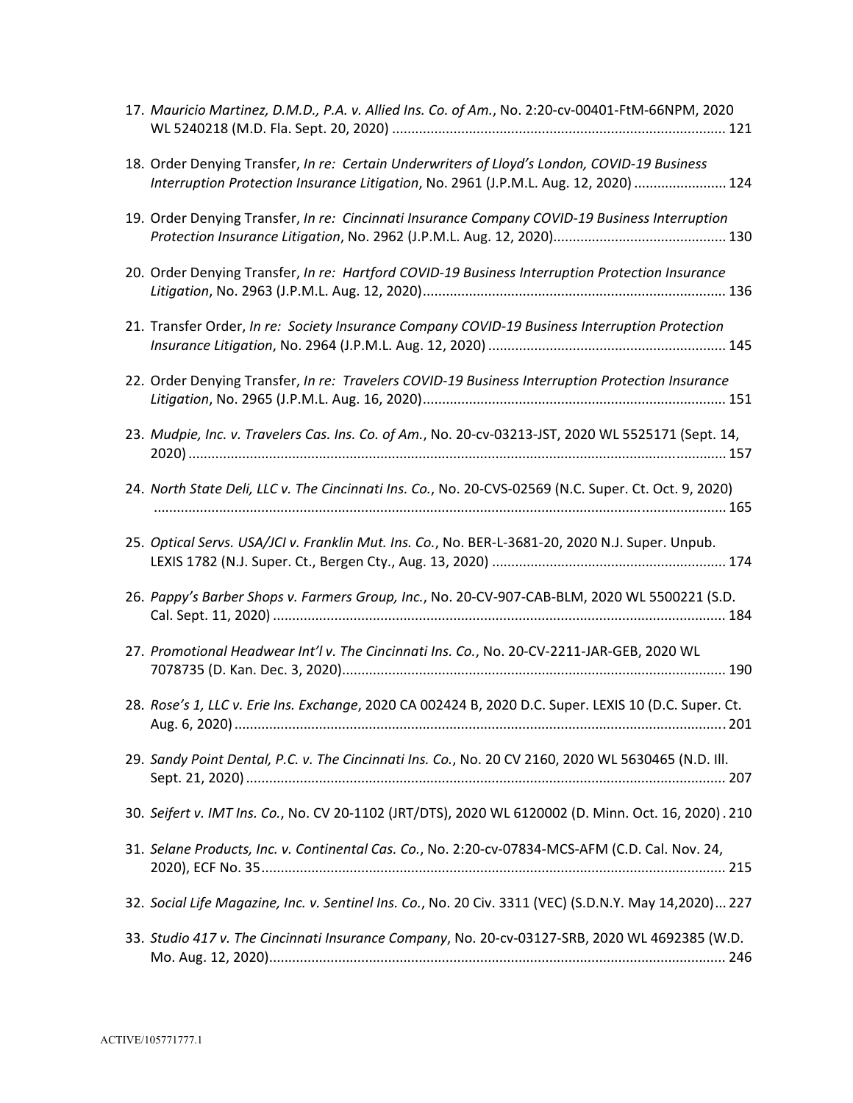| 17. Mauricio Martinez, D.M.D., P.A. v. Allied Ins. Co. of Am., No. 2:20-cv-00401-FtM-66NPM, 2020                                                                                     |
|--------------------------------------------------------------------------------------------------------------------------------------------------------------------------------------|
| 18. Order Denying Transfer, In re: Certain Underwriters of Lloyd's London, COVID-19 Business<br>Interruption Protection Insurance Litigation, No. 2961 (J.P.M.L. Aug. 12, 2020)  124 |
| 19. Order Denying Transfer, In re: Cincinnati Insurance Company COVID-19 Business Interruption                                                                                       |
| 20. Order Denying Transfer, In re: Hartford COVID-19 Business Interruption Protection Insurance                                                                                      |
| 21. Transfer Order, In re: Society Insurance Company COVID-19 Business Interruption Protection                                                                                       |
| 22. Order Denying Transfer, In re: Travelers COVID-19 Business Interruption Protection Insurance                                                                                     |
| 23. Mudpie, Inc. v. Travelers Cas. Ins. Co. of Am., No. 20-cv-03213-JST, 2020 WL 5525171 (Sept. 14,                                                                                  |
| 24. North State Deli, LLC v. The Cincinnati Ins. Co., No. 20-CVS-02569 (N.C. Super. Ct. Oct. 9, 2020)                                                                                |
| 25. Optical Servs. USA/JCI v. Franklin Mut. Ins. Co., No. BER-L-3681-20, 2020 N.J. Super. Unpub.                                                                                     |
| 26. Pappy's Barber Shops v. Farmers Group, Inc., No. 20-CV-907-CAB-BLM, 2020 WL 5500221 (S.D.                                                                                        |
| 27. Promotional Headwear Int'l v. The Cincinnati Ins. Co., No. 20-CV-2211-JAR-GEB, 2020 WL                                                                                           |
| 28. Rose's 1, LLC v. Erie Ins. Exchange, 2020 CA 002424 B, 2020 D.C. Super. LEXIS 10 (D.C. Super. Ct.                                                                                |
| 29. Sandy Point Dental, P.C. v. The Cincinnati Ins. Co., No. 20 CV 2160, 2020 WL 5630465 (N.D. Ill.                                                                                  |
| 30. Seifert v. IMT Ins. Co., No. CV 20-1102 (JRT/DTS), 2020 WL 6120002 (D. Minn. Oct. 16, 2020). 210                                                                                 |
| 31. Selane Products, Inc. v. Continental Cas. Co., No. 2:20-cv-07834-MCS-AFM (C.D. Cal. Nov. 24,                                                                                     |
| 32. Social Life Magazine, Inc. v. Sentinel Ins. Co., No. 20 Civ. 3311 (VEC) (S.D.N.Y. May 14,2020) 227                                                                               |
| 33. Studio 417 v. The Cincinnati Insurance Company, No. 20-cv-03127-SRB, 2020 WL 4692385 (W.D.                                                                                       |